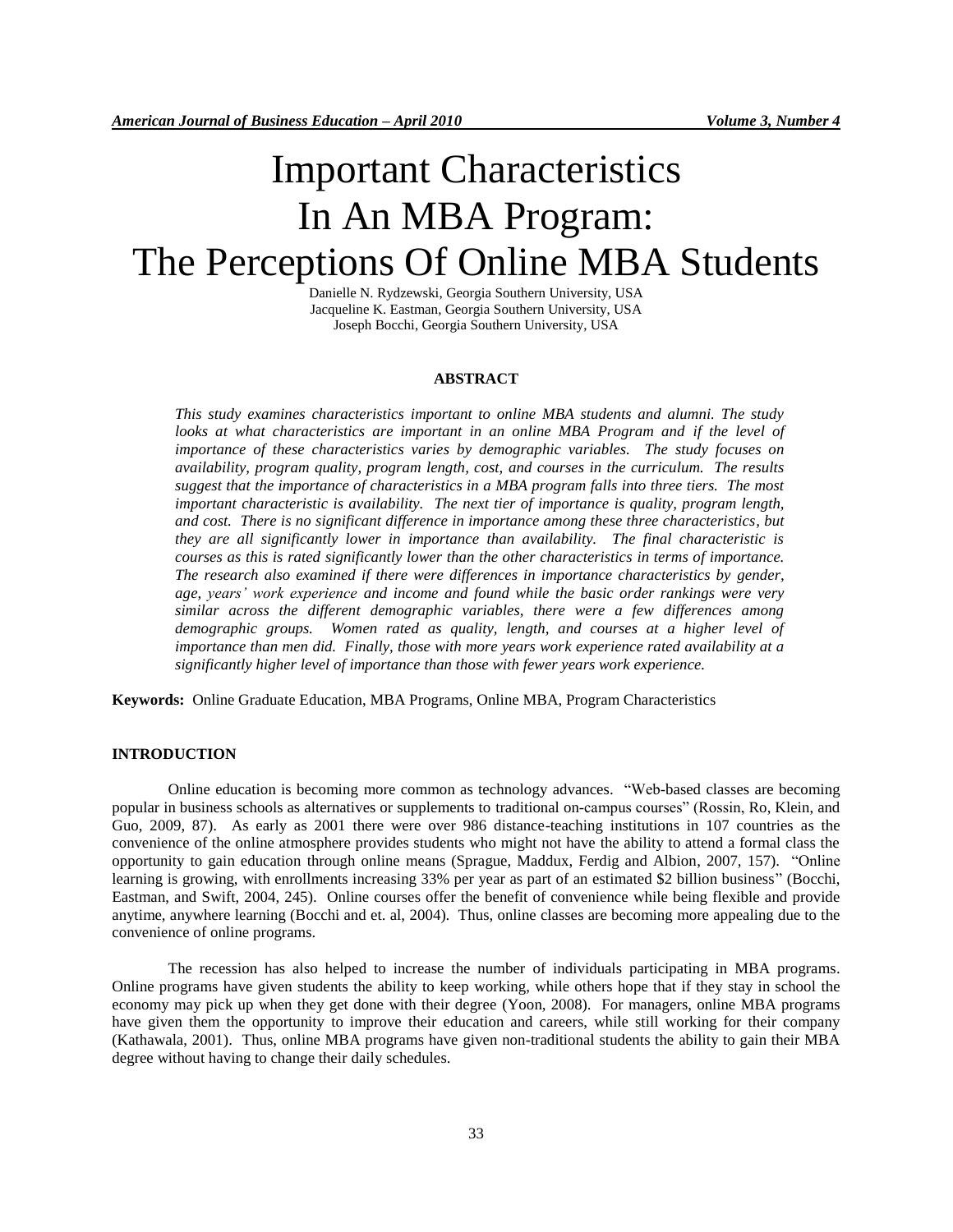# Important Characteristics In An MBA Program: The Perceptions Of Online MBA Students

Danielle N. Rydzewski, Georgia Southern University, USA Jacqueline K. Eastman, Georgia Southern University, USA Joseph Bocchi, Georgia Southern University, USA

#### **ABSTRACT**

*This study examines characteristics important to online MBA students and alumni. The study looks at what characteristics are important in an online MBA Program and if the level of importance of these characteristics varies by demographic variables. The study focuses on availability, program quality, program length, cost, and courses in the curriculum. The results suggest that the importance of characteristics in a MBA program falls into three tiers. The most important characteristic is availability. The next tier of importance is quality, program length, and cost. There is no significant difference in importance among these three characteristics, but they are all significantly lower in importance than availability. The final characteristic is courses as this is rated significantly lower than the other characteristics in terms of importance. The research also examined if there were differences in importance characteristics by gender, age, years' work experience and income and found while the basic order rankings were very similar across the different demographic variables, there were a few differences among demographic groups. Women rated as quality, length, and courses at a higher level of importance than men did. Finally, those with more years work experience rated availability at a significantly higher level of importance than those with fewer years work experience.*

**Keywords:** Online Graduate Education, MBA Programs, Online MBA, Program Characteristics

# **INTRODUCTION**

Online education is becoming more common as technology advances. "Web-based classes are becoming popular in business schools as alternatives or supplements to traditional on-campus courses" (Rossin, Ro, Klein, and Guo, 2009, 87). As early as 2001 there were over 986 distance-teaching institutions in 107 countries as the convenience of the online atmosphere provides students who might not have the ability to attend a formal class the opportunity to gain education through online means (Sprague, Maddux, Ferdig and Albion, 2007, 157). "Online learning is growing, with enrollments increasing 33% per year as part of an estimated \$2 billion business" (Bocchi, Eastman, and Swift, 2004, 245). Online courses offer the benefit of convenience while being flexible and provide anytime, anywhere learning (Bocchi and et. al, 2004). Thus, online classes are becoming more appealing due to the convenience of online programs.

The recession has also helped to increase the number of individuals participating in MBA programs. Online programs have given students the ability to keep working, while others hope that if they stay in school the economy may pick up when they get done with their degree (Yoon, 2008). For managers, online MBA programs have given them the opportunity to improve their education and careers, while still working for their company (Kathawala, 2001). Thus, online MBA programs have given non-traditional students the ability to gain their MBA degree without having to change their daily schedules.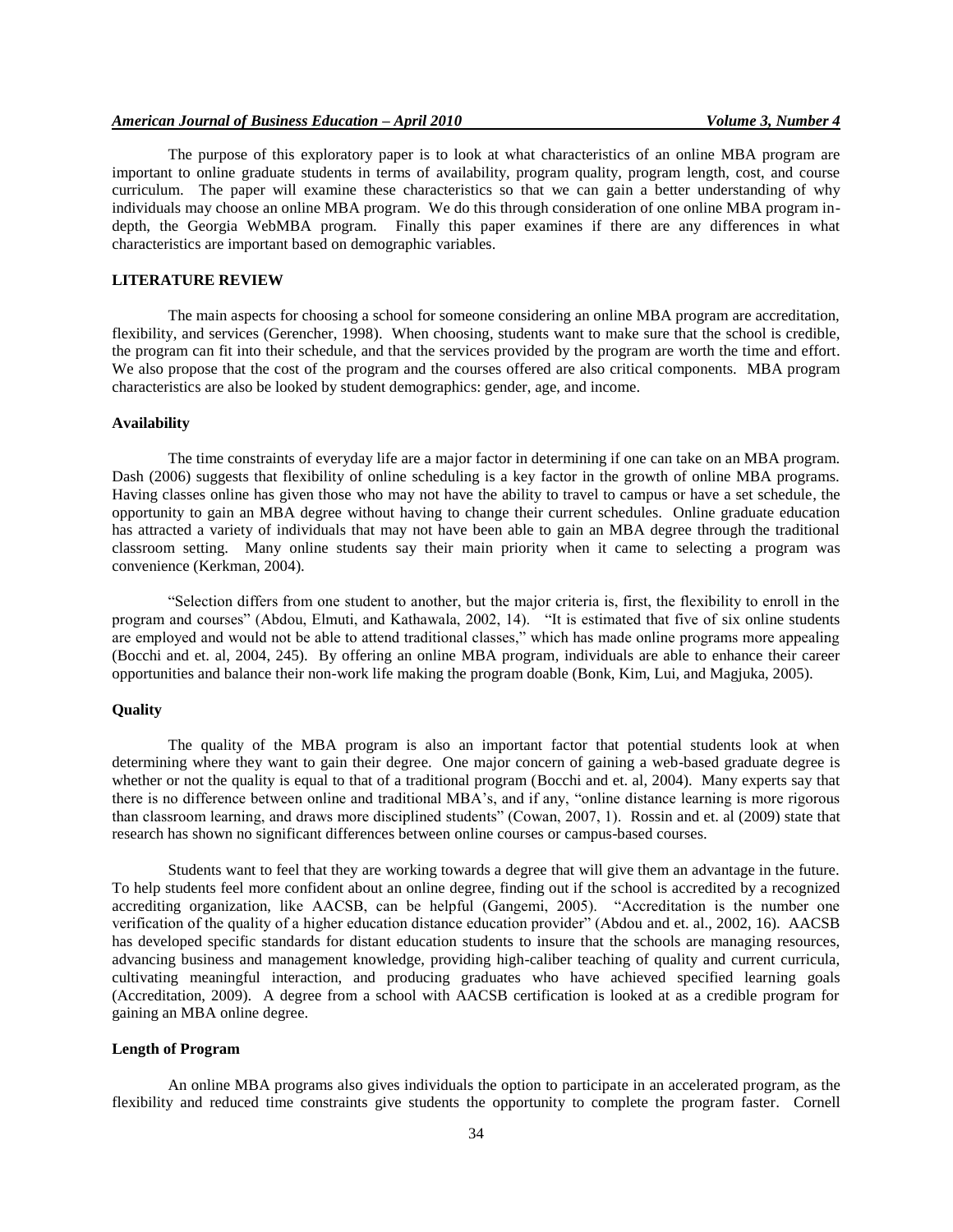The purpose of this exploratory paper is to look at what characteristics of an online MBA program are important to online graduate students in terms of availability, program quality, program length, cost, and course curriculum. The paper will examine these characteristics so that we can gain a better understanding of why individuals may choose an online MBA program. We do this through consideration of one online MBA program indepth, the Georgia WebMBA program. Finally this paper examines if there are any differences in what characteristics are important based on demographic variables.

# **LITERATURE REVIEW**

The main aspects for choosing a school for someone considering an online MBA program are accreditation, flexibility, and services (Gerencher, 1998). When choosing, students want to make sure that the school is credible, the program can fit into their schedule, and that the services provided by the program are worth the time and effort. We also propose that the cost of the program and the courses offered are also critical components. MBA program characteristics are also be looked by student demographics: gender, age, and income.

#### **Availability**

The time constraints of everyday life are a major factor in determining if one can take on an MBA program. Dash (2006) suggests that flexibility of online scheduling is a key factor in the growth of online MBA programs. Having classes online has given those who may not have the ability to travel to campus or have a set schedule, the opportunity to gain an MBA degree without having to change their current schedules. Online graduate education has attracted a variety of individuals that may not have been able to gain an MBA degree through the traditional classroom setting. Many online students say their main priority when it came to selecting a program was convenience (Kerkman, 2004).

"Selection differs from one student to another, but the major criteria is, first, the flexibility to enroll in the program and courses" (Abdou, Elmuti, and Kathawala, 2002, 14). "It is estimated that five of six online students are employed and would not be able to attend traditional classes," which has made online programs more appealing (Bocchi and et. al, 2004, 245). By offering an online MBA program, individuals are able to enhance their career opportunities and balance their non-work life making the program doable (Bonk, Kim, Lui, and Magjuka, 2005).

#### **Quality**

The quality of the MBA program is also an important factor that potential students look at when determining where they want to gain their degree. One major concern of gaining a web-based graduate degree is whether or not the quality is equal to that of a traditional program (Bocchi and et. al, 2004). Many experts say that there is no difference between online and traditional MBA's, and if any, "online distance learning is more rigorous than classroom learning, and draws more disciplined students" (Cowan, 2007, 1). Rossin and et. al (2009) state that research has shown no significant differences between online courses or campus-based courses.

Students want to feel that they are working towards a degree that will give them an advantage in the future. To help students feel more confident about an online degree, finding out if the school is accredited by a recognized accrediting organization, like AACSB, can be helpful (Gangemi, 2005). "Accreditation is the number one verification of the quality of a higher education distance education provider" (Abdou and et. al., 2002, 16). AACSB has developed specific standards for distant education students to insure that the schools are managing resources, advancing business and management knowledge, providing high-caliber teaching of quality and current curricula, cultivating meaningful interaction, and producing graduates who have achieved specified learning goals (Accreditation, 2009). A degree from a school with AACSB certification is looked at as a credible program for gaining an MBA online degree.

#### **Length of Program**

An online MBA programs also gives individuals the option to participate in an accelerated program, as the flexibility and reduced time constraints give students the opportunity to complete the program faster. Cornell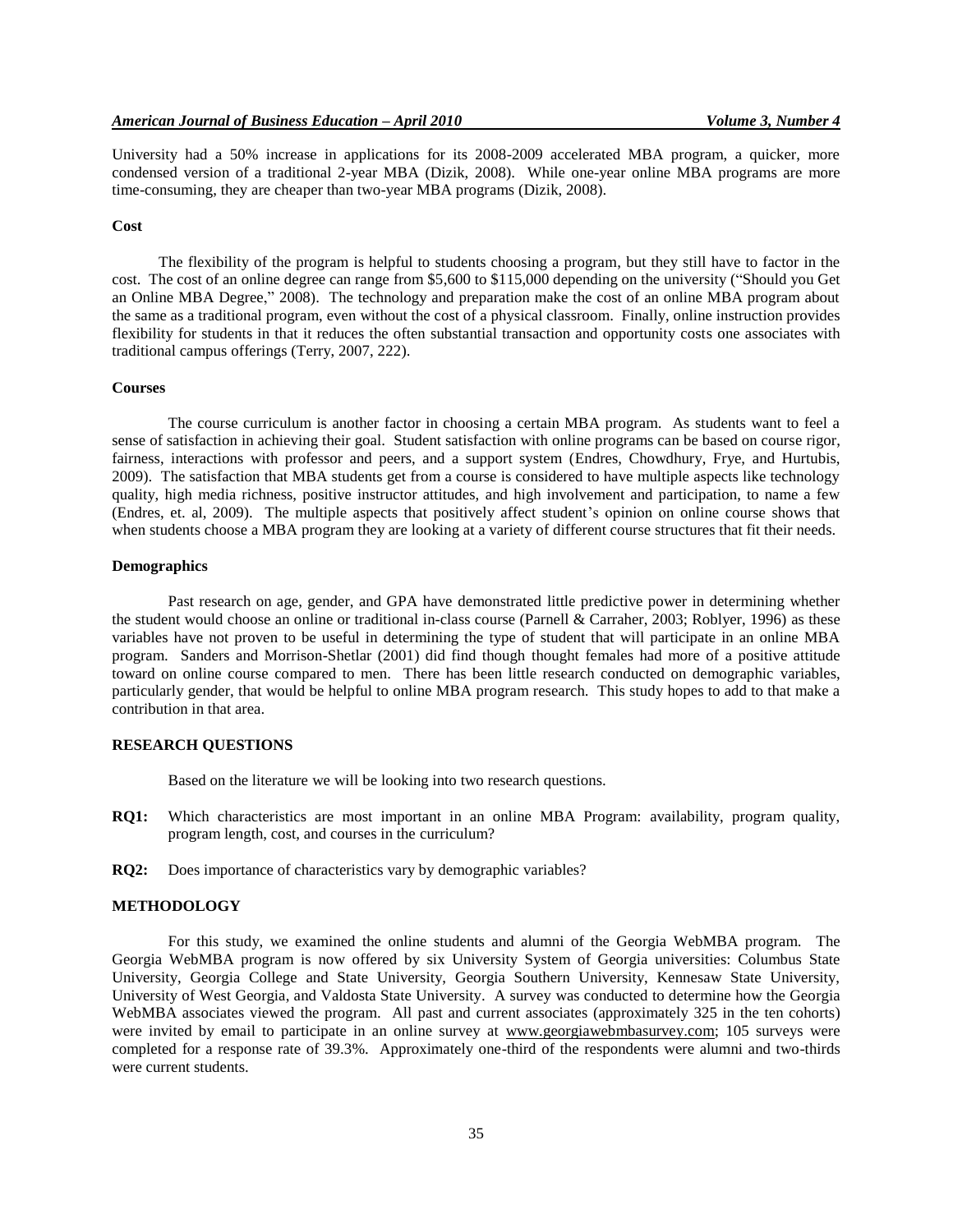University had a 50% increase in applications for its 2008-2009 accelerated MBA program, a quicker, more condensed version of a traditional 2-year MBA (Dizik, 2008). While one-year online MBA programs are more time-consuming, they are cheaper than two-year MBA programs (Dizik, 2008).

#### **Cost**

The flexibility of the program is helpful to students choosing a program, but they still have to factor in the cost. The cost of an online degree can range from \$5,600 to \$115,000 depending on the university ("Should you Get an Online MBA Degree," 2008). The technology and preparation make the cost of an online MBA program about the same as a traditional program, even without the cost of a physical classroom. Finally, online instruction provides flexibility for students in that it reduces the often substantial transaction and opportunity costs one associates with traditional campus offerings (Terry, 2007, 222).

#### **Courses**

The course curriculum is another factor in choosing a certain MBA program. As students want to feel a sense of satisfaction in achieving their goal. Student satisfaction with online programs can be based on course rigor, fairness, interactions with professor and peers, and a support system (Endres, Chowdhury, Frye, and Hurtubis, 2009). The satisfaction that MBA students get from a course is considered to have multiple aspects like technology quality, high media richness, positive instructor attitudes, and high involvement and participation, to name a few (Endres, et. al, 2009). The multiple aspects that positively affect student's opinion on online course shows that when students choose a MBA program they are looking at a variety of different course structures that fit their needs.

#### **Demographics**

Past research on age, gender, and GPA have demonstrated little predictive power in determining whether the student would choose an online or traditional in-class course (Parnell & Carraher, 2003; Roblyer, 1996) as these variables have not proven to be useful in determining the type of student that will participate in an online MBA program. Sanders and Morrison-Shetlar (2001) did find though thought females had more of a positive attitude toward on online course compared to men. There has been little research conducted on demographic variables, particularly gender, that would be helpful to online MBA program research. This study hopes to add to that make a contribution in that area.

# **RESEARCH QUESTIONS**

Based on the literature we will be looking into two research questions.

- **RQ1:** Which characteristics are most important in an online MBA Program: availability, program quality, program length, cost, and courses in the curriculum?
- **RQ2:** Does importance of characteristics vary by demographic variables?

## **METHODOLOGY**

For this study, we examined the online students and alumni of the Georgia WebMBA program. The Georgia WebMBA program is now offered by six University System of Georgia universities: Columbus State University, Georgia College and State University, Georgia Southern University, Kennesaw State University, University of West Georgia, and Valdosta State University. A survey was conducted to determine how the Georgia WebMBA associates viewed the program. All past and current associates (approximately 325 in the ten cohorts) were invited by email to participate in an online survey at [www.georgiawebmbasurvey.com;](http://www.georgiawebmbasurvey.com/) 105 surveys were completed for a response rate of 39.3%. Approximately one-third of the respondents were alumni and two-thirds were current students.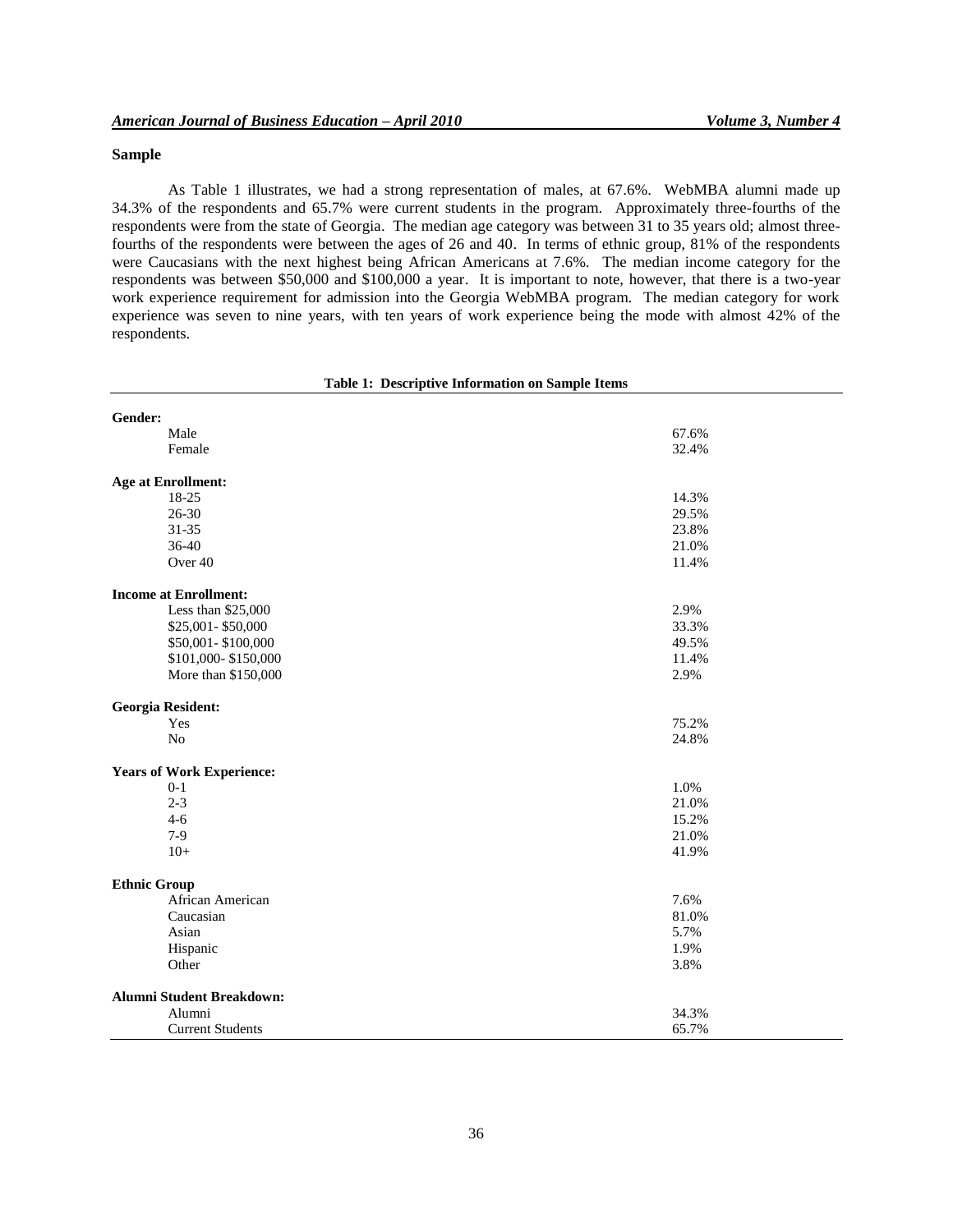# **Sample**

As Table 1 illustrates, we had a strong representation of males, at 67.6%. WebMBA alumni made up 34.3% of the respondents and 65.7% were current students in the program. Approximately three-fourths of the respondents were from the state of Georgia. The median age category was between 31 to 35 years old; almost threefourths of the respondents were between the ages of 26 and 40. In terms of ethnic group, 81% of the respondents were Caucasians with the next highest being African Americans at 7.6%. The median income category for the respondents was between \$50,000 and \$100,000 a year. It is important to note, however, that there is a two-year work experience requirement for admission into the Georgia WebMBA program. The median category for work experience was seven to nine years, with ten years of work experience being the mode with almost 42% of the respondents.

| Male                             | 67.6% |
|----------------------------------|-------|
| Female                           | 32.4% |
|                                  |       |
| <b>Age at Enrollment:</b>        |       |
| 18-25                            | 14.3% |
| $26 - 30$                        | 29.5% |
| $31 - 35$                        | 23.8% |
| 36-40                            | 21.0% |
| Over 40                          | 11.4% |
| <b>Income at Enrollment:</b>     |       |
| Less than \$25,000               | 2.9%  |
| \$25,001-\$50,000                | 33.3% |
| \$50,001-\$100,000               | 49.5% |
| \$101,000-\$150,000              | 11.4% |
| More than \$150,000              | 2.9%  |
| <b>Georgia Resident:</b>         |       |
| Yes                              | 75.2% |
| N <sub>o</sub>                   | 24.8% |
| <b>Years of Work Experience:</b> |       |
| $0-1$                            | 1.0%  |
| $2 - 3$                          | 21.0% |
| $4 - 6$                          | 15.2% |
| $7-9$                            | 21.0% |
| $10+$                            | 41.9% |
| <b>Ethnic Group</b>              |       |
| African American                 | 7.6%  |
| Caucasian                        | 81.0% |
| Asian                            | 5.7%  |
| Hispanic                         | 1.9%  |
|                                  |       |

# **Table 1: Descriptive Information on Sample Items**

Alumni 34.3% Current Students 65.7%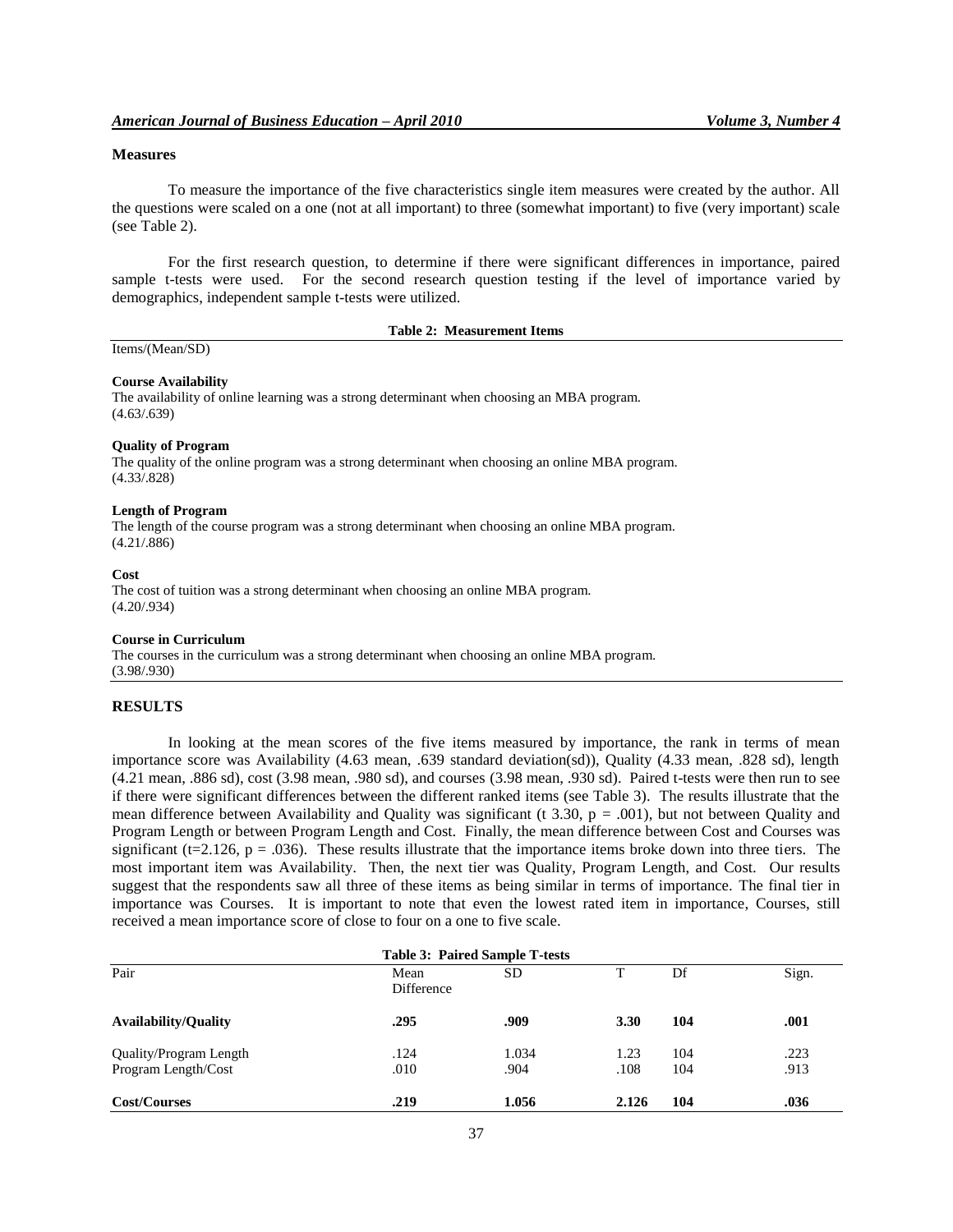#### **Measures**

To measure the importance of the five characteristics single item measures were created by the author. All the questions were scaled on a one (not at all important) to three (somewhat important) to five (very important) scale (see Table 2).

For the first research question, to determine if there were significant differences in importance, paired sample t-tests were used. For the second research question testing if the level of importance varied by demographics, independent sample t-tests were utilized.

**Table 2: Measurement Items**

# Items/(Mean/SD)

#### **Course Availability**

The availability of online learning was a strong determinant when choosing an MBA program.  $(4.63/0.639)$ 

#### **Quality of Program**

The quality of the online program was a strong determinant when choosing an online MBA program. (4.33/.828)

#### **Length of Program**

The length of the course program was a strong determinant when choosing an online MBA program. (4.21/.886)

#### **Cost**

The cost of tuition was a strong determinant when choosing an online MBA program. (4.20/.934)

#### **Course in Curriculum**

The courses in the curriculum was a strong determinant when choosing an online MBA program. (3.98/.930)

#### **RESULTS**

In looking at the mean scores of the five items measured by importance, the rank in terms of mean importance score was Availability (4.63 mean, .639 standard deviation(sd)), Quality (4.33 mean, .828 sd), length (4.21 mean, .886 sd), cost (3.98 mean, .980 sd), and courses (3.98 mean, .930 sd). Paired t-tests were then run to see if there were significant differences between the different ranked items (see Table 3). The results illustrate that the mean difference between Availability and Quality was significant (t 3.30,  $p = .001$ ), but not between Quality and Program Length or between Program Length and Cost. Finally, the mean difference between Cost and Courses was significant (t=2.126, p = .036). These results illustrate that the importance items broke down into three tiers. The most important item was Availability. Then, the next tier was Quality, Program Length, and Cost. Our results suggest that the respondents saw all three of these items as being similar in terms of importance. The final tier in importance was Courses. It is important to note that even the lowest rated item in importance, Courses, still received a mean importance score of close to four on a one to five scale.

| <b>Table 3: Paired Sample T-tests</b> |                    |       |       |       |      |  |  |  |
|---------------------------------------|--------------------|-------|-------|-------|------|--|--|--|
| Pair                                  | Mean<br>Difference | т     | Df    | Sign. |      |  |  |  |
| <b>Availability/Quality</b>           | .295               | .909  | 3.30  | 104   | .001 |  |  |  |
| Quality/Program Length                | .124               | 1.034 | 1.23  | 104   | .223 |  |  |  |
| Program Length/Cost                   | .010               | .904  | .108  | 104   | .913 |  |  |  |
| Cost/Courses                          | .219               | 1.056 | 2.126 | 104   | .036 |  |  |  |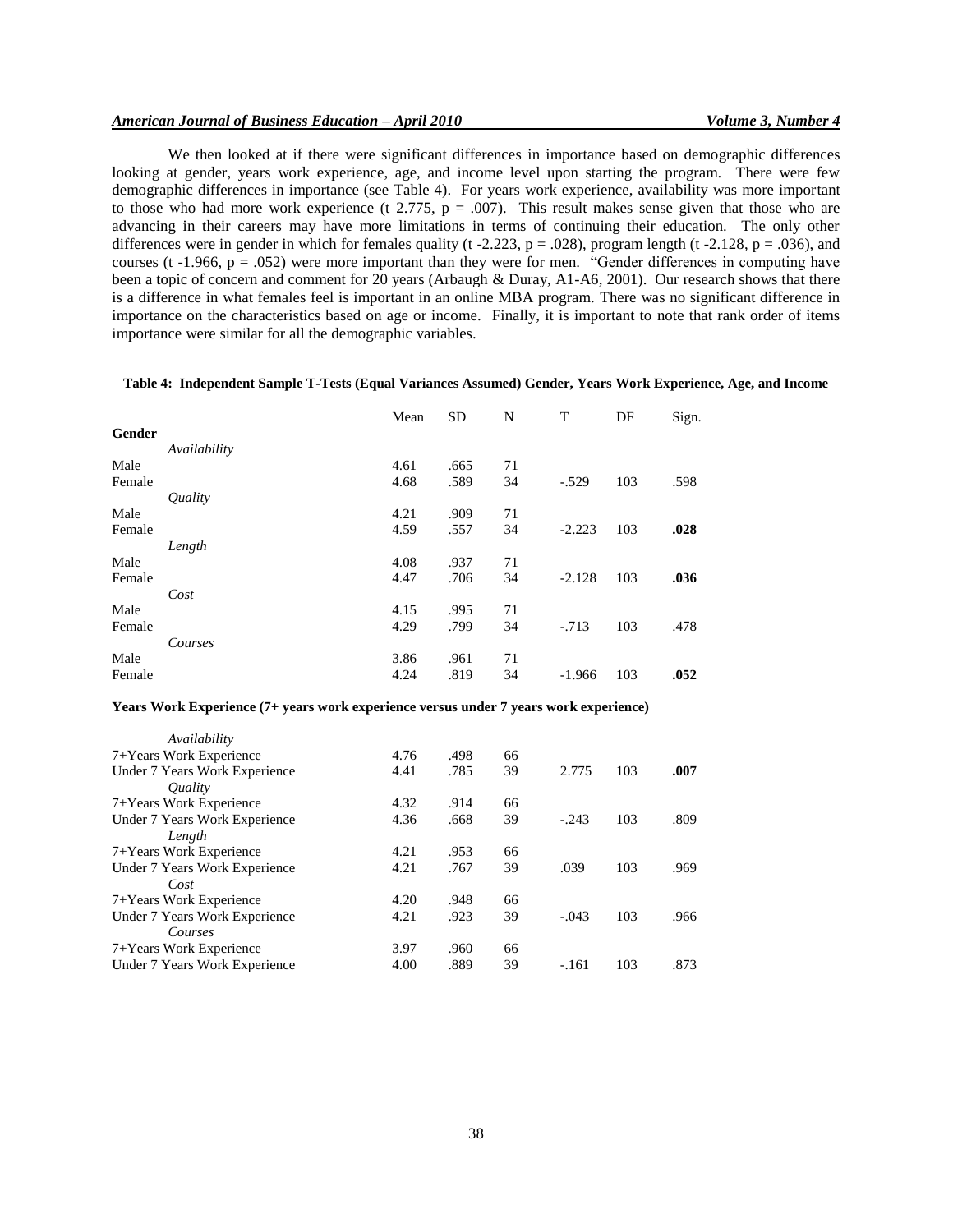## *American Journal of Business Education – April 2010 Volume 3, Number 4*

We then looked at if there were significant differences in importance based on demographic differences looking at gender, years work experience, age, and income level upon starting the program. There were few demographic differences in importance (see Table 4). For years work experience, availability was more important to those who had more work experience (t 2.775,  $p = .007$ ). This result makes sense given that those who are advancing in their careers may have more limitations in terms of continuing their education. The only other differences were in gender in which for females quality (t -2.223, p = .028), program length (t -2.128, p = .036), and courses (t -1.966,  $p = .052$ ) were more important than they were for men. "Gender differences in computing have been a topic of concern and comment for 20 years (Arbaugh & Duray, A1-A6, 2001). Our research shows that there is a difference in what females feel is important in an online MBA program. There was no significant difference in importance on the characteristics based on age or income. Finally, it is important to note that rank order of items importance were similar for all the demographic variables.

#### **Table 4: Independent Sample T-Tests (Equal Variances Assumed) Gender, Years Work Experience, Age, and Income**

|        |                              | Mean | <b>SD</b> | N  | T        | DF  | Sign. |
|--------|------------------------------|------|-----------|----|----------|-----|-------|
| Gender |                              |      |           |    |          |     |       |
|        | Availability                 |      |           |    |          |     |       |
| Male   |                              | 4.61 | .665      | 71 |          |     |       |
| Female |                              | 4.68 | .589      | 34 | $-.529$  | 103 | .598  |
|        | <i><u><b>Quality</b></u></i> |      |           |    |          |     |       |
| Male   |                              | 4.21 | .909      | 71 |          |     |       |
| Female |                              | 4.59 | .557      | 34 | $-2.223$ | 103 | .028  |
|        | Length                       |      |           |    |          |     |       |
| Male   |                              | 4.08 | .937      | 71 |          |     |       |
| Female |                              | 4.47 | .706      | 34 | $-2.128$ | 103 | .036  |
|        | Cost                         |      |           |    |          |     |       |
| Male   |                              | 4.15 | .995      | 71 |          |     |       |
| Female |                              | 4.29 | .799      | 34 | $-.713$  | 103 | .478  |
|        | Courses                      |      |           |    |          |     |       |
| Male   |                              | 3.86 | .961      | 71 |          |     |       |
| Female |                              | 4.24 | .819      | 34 | $-1.966$ | 103 | .052  |

#### **Years Work Experience (7+ years work experience versus under 7 years work experience)**

| Availability                  |      |      |    |         |     |      |
|-------------------------------|------|------|----|---------|-----|------|
| 7+Years Work Experience       | 4.76 | .498 | 66 |         |     |      |
| Under 7 Years Work Experience | 4.41 | .785 | 39 | 2.775   | 103 | .007 |
| <i><u><b>Ouality</b></u></i>  |      |      |    |         |     |      |
| 7+Years Work Experience       | 4.32 | .914 | 66 |         |     |      |
| Under 7 Years Work Experience | 4.36 | .668 | 39 | $-.243$ | 103 | .809 |
| Length                        |      |      |    |         |     |      |
| 7+Years Work Experience       | 4.21 | .953 | 66 |         |     |      |
| Under 7 Years Work Experience | 4.21 | .767 | 39 | .039    | 103 | .969 |
| Cost                          |      |      |    |         |     |      |
| 7+Years Work Experience       | 4.20 | .948 | 66 |         |     |      |
| Under 7 Years Work Experience | 4.21 | .923 | 39 | $-.043$ | 103 | .966 |
| Courses                       |      |      |    |         |     |      |
| 7+Years Work Experience       | 3.97 | .960 | 66 |         |     |      |
| Under 7 Years Work Experience | 4.00 | .889 | 39 | $-.161$ | 103 | .873 |
|                               |      |      |    |         |     |      |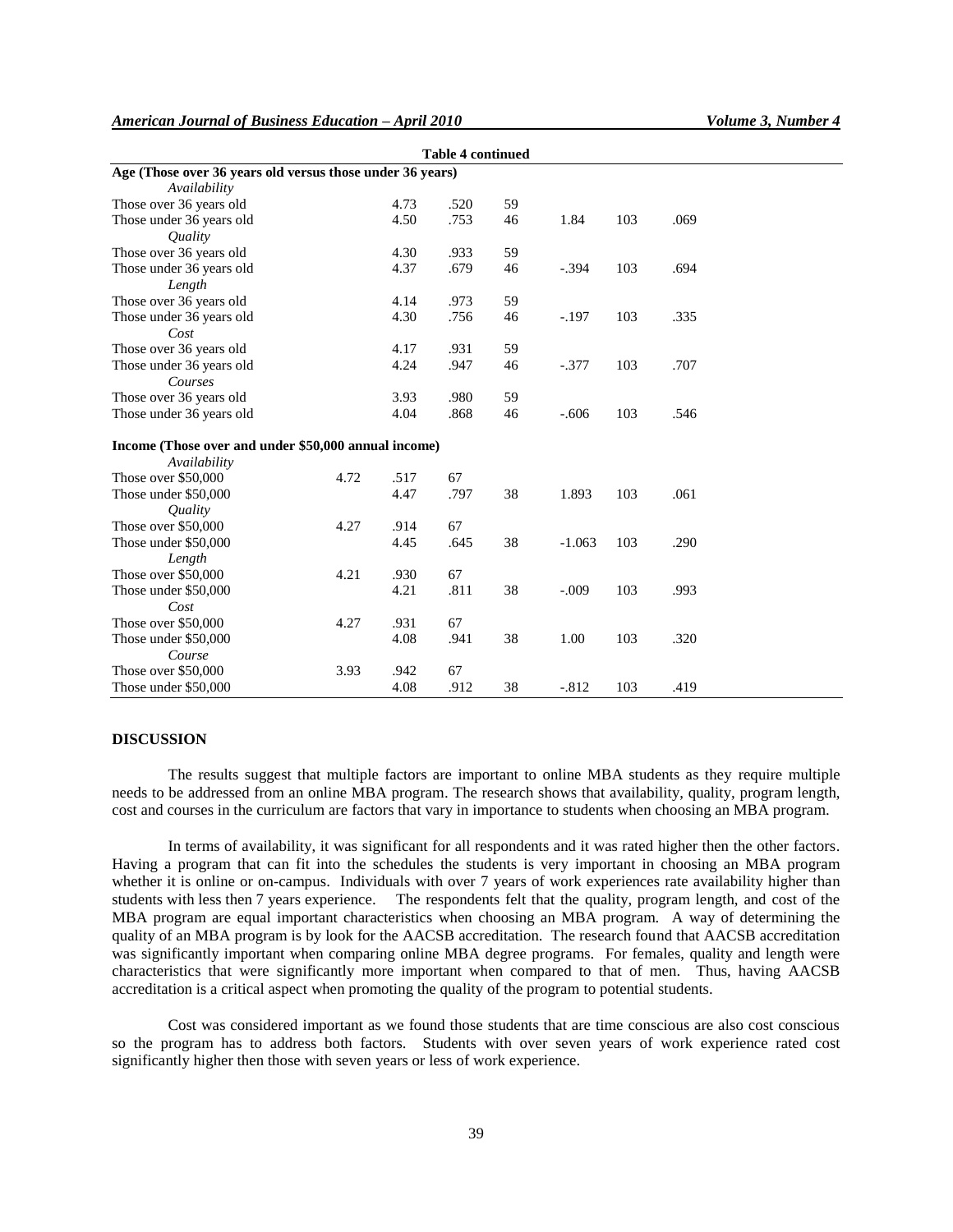| <b>Table 4 continued</b>                                  |      |      |      |    |          |     |      |  |
|-----------------------------------------------------------|------|------|------|----|----------|-----|------|--|
| Age (Those over 36 years old versus those under 36 years) |      |      |      |    |          |     |      |  |
| Availability                                              |      |      |      |    |          |     |      |  |
| Those over 36 years old                                   |      | 4.73 | .520 | 59 |          |     |      |  |
| Those under 36 years old                                  |      | 4.50 | .753 | 46 | 1.84     | 103 | .069 |  |
| <i><u><b>Ouality</b></u></i>                              |      |      |      |    |          |     |      |  |
| Those over 36 years old                                   |      | 4.30 | .933 | 59 |          |     |      |  |
| Those under 36 years old                                  |      | 4.37 | .679 | 46 | $-.394$  | 103 | .694 |  |
| Length                                                    |      |      |      |    |          |     |      |  |
| Those over 36 years old                                   |      | 4.14 | .973 | 59 |          |     |      |  |
| Those under 36 years old                                  |      | 4.30 | .756 | 46 | $-.197$  | 103 | .335 |  |
| Cost                                                      |      |      |      |    |          |     |      |  |
| Those over 36 years old                                   |      | 4.17 | .931 | 59 |          |     |      |  |
| Those under 36 years old                                  |      | 4.24 | .947 | 46 | $-.377$  | 103 | .707 |  |
| Courses                                                   |      |      |      |    |          |     |      |  |
| Those over 36 years old                                   |      | 3.93 | .980 | 59 |          |     |      |  |
| Those under 36 years old                                  |      | 4.04 | .868 | 46 | $-.606$  | 103 | .546 |  |
| Income (Those over and under \$50,000 annual income)      |      |      |      |    |          |     |      |  |
| Availability                                              |      |      |      |    |          |     |      |  |
| Those over \$50,000                                       | 4.72 | .517 | 67   |    |          |     |      |  |
| Those under \$50,000                                      |      | 4.47 | .797 | 38 | 1.893    | 103 | .061 |  |
| <i><u><b>Quality</b></u></i>                              |      |      |      |    |          |     |      |  |
| Those over \$50,000                                       | 4.27 | .914 | 67   |    |          |     |      |  |
| Those under \$50,000                                      |      | 4.45 | .645 | 38 | $-1.063$ | 103 | .290 |  |
| Length                                                    |      |      |      |    |          |     |      |  |
| Those over \$50,000                                       | 4.21 | .930 | 67   |    |          |     |      |  |
| Those under \$50,000                                      |      | 4.21 | .811 | 38 | $-.009$  | 103 | .993 |  |
| Cost                                                      |      |      |      |    |          |     |      |  |
| Those over \$50,000                                       | 4.27 | .931 | 67   |    |          |     |      |  |
| Those under \$50,000                                      |      | 4.08 | .941 | 38 | 1.00     | 103 | .320 |  |
| Course                                                    |      |      |      |    |          |     |      |  |
| Those over \$50,000                                       | 3.93 | .942 | 67   |    |          |     |      |  |
| Those under \$50,000                                      |      | 4.08 | .912 | 38 | $-0.812$ | 103 | .419 |  |

#### **DISCUSSION**

The results suggest that multiple factors are important to online MBA students as they require multiple needs to be addressed from an online MBA program. The research shows that availability, quality, program length, cost and courses in the curriculum are factors that vary in importance to students when choosing an MBA program.

In terms of availability, it was significant for all respondents and it was rated higher then the other factors. Having a program that can fit into the schedules the students is very important in choosing an MBA program whether it is online or on-campus. Individuals with over 7 years of work experiences rate availability higher than students with less then 7 years experience. The respondents felt that the quality, program length, and cost of the MBA program are equal important characteristics when choosing an MBA program. A way of determining the quality of an MBA program is by look for the AACSB accreditation. The research found that AACSB accreditation was significantly important when comparing online MBA degree programs. For females, quality and length were characteristics that were significantly more important when compared to that of men. Thus, having AACSB accreditation is a critical aspect when promoting the quality of the program to potential students.

Cost was considered important as we found those students that are time conscious are also cost conscious so the program has to address both factors. Students with over seven years of work experience rated cost significantly higher then those with seven years or less of work experience.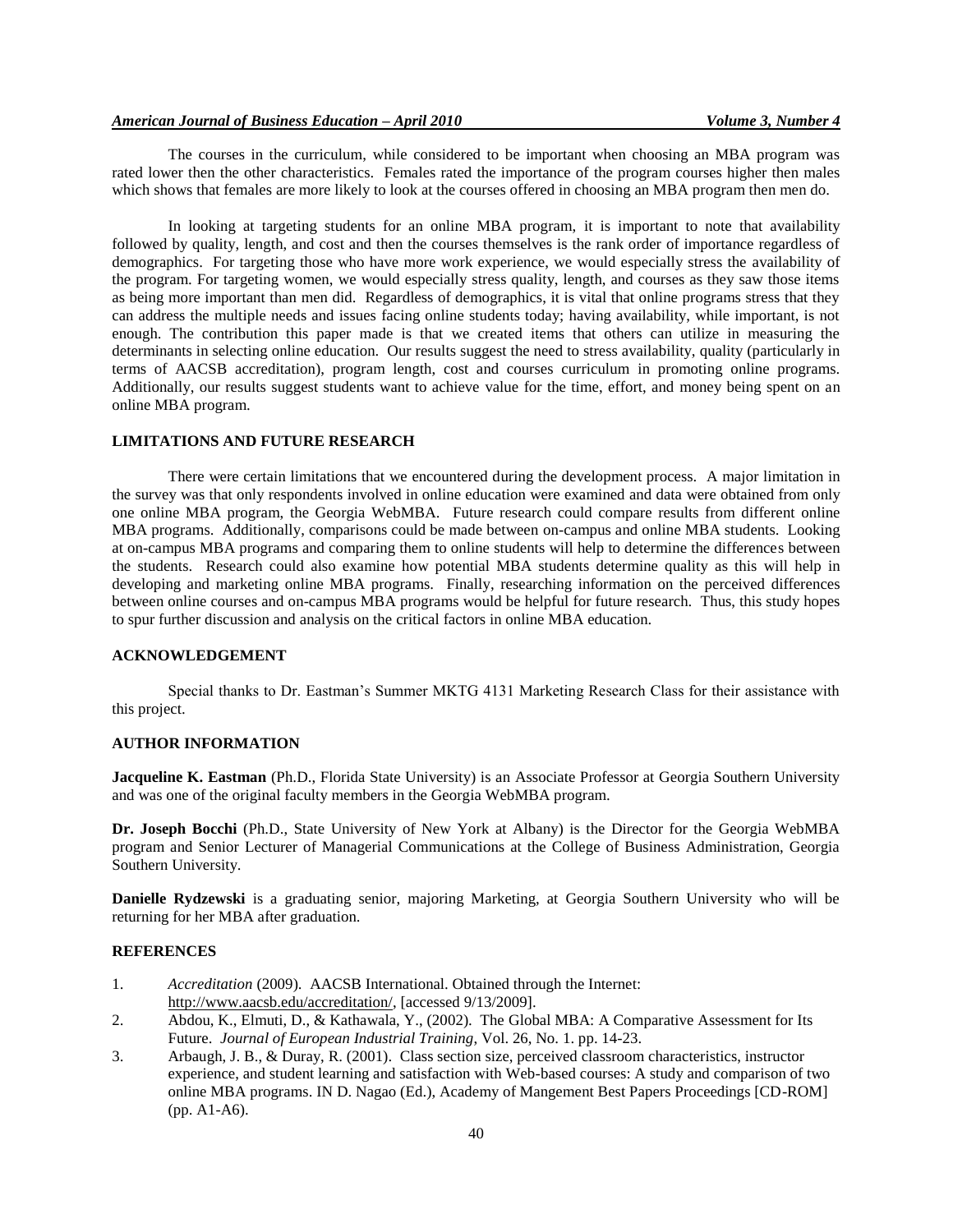The courses in the curriculum, while considered to be important when choosing an MBA program was rated lower then the other characteristics. Females rated the importance of the program courses higher then males which shows that females are more likely to look at the courses offered in choosing an MBA program then men do.

In looking at targeting students for an online MBA program, it is important to note that availability followed by quality, length, and cost and then the courses themselves is the rank order of importance regardless of demographics. For targeting those who have more work experience, we would especially stress the availability of the program. For targeting women, we would especially stress quality, length, and courses as they saw those items as being more important than men did. Regardless of demographics, it is vital that online programs stress that they can address the multiple needs and issues facing online students today; having availability, while important, is not enough. The contribution this paper made is that we created items that others can utilize in measuring the determinants in selecting online education. Our results suggest the need to stress availability, quality (particularly in terms of AACSB accreditation), program length, cost and courses curriculum in promoting online programs. Additionally, our results suggest students want to achieve value for the time, effort, and money being spent on an online MBA program.

# **LIMITATIONS AND FUTURE RESEARCH**

There were certain limitations that we encountered during the development process. A major limitation in the survey was that only respondents involved in online education were examined and data were obtained from only one online MBA program, the Georgia WebMBA. Future research could compare results from different online MBA programs. Additionally, comparisons could be made between on-campus and online MBA students. Looking at on-campus MBA programs and comparing them to online students will help to determine the differences between the students. Research could also examine how potential MBA students determine quality as this will help in developing and marketing online MBA programs. Finally, researching information on the perceived differences between online courses and on-campus MBA programs would be helpful for future research. Thus, this study hopes to spur further discussion and analysis on the critical factors in online MBA education.

# **ACKNOWLEDGEMENT**

Special thanks to Dr. Eastman's Summer MKTG 4131 Marketing Research Class for their assistance with this project.

# **AUTHOR INFORMATION**

**Jacqueline K. Eastman** (Ph.D., Florida State University) is an Associate Professor at Georgia Southern University and was one of the original faculty members in the Georgia WebMBA program.

**Dr. Joseph Bocchi** (Ph.D., State University of New York at Albany) is the Director for the Georgia WebMBA program and Senior Lecturer of Managerial Communications at the College of Business Administration, Georgia Southern University.

**Danielle Rydzewski** is a graduating senior, majoring Marketing, at Georgia Southern University who will be returning for her MBA after graduation.

# **REFERENCES**

- 1. *Accreditation* (2009). AACSB International. Obtained through the Internet: [http://www.aacsb.edu/accreditation/,](http://www.aacsb.edu/accreditation/) [accessed 9/13/2009].
- 2. Abdou, K., Elmuti, D., & Kathawala, Y., (2002). The Global MBA: A Comparative Assessment for Its Future. *Journal of European Industrial Training*, Vol. 26, No. 1. pp. 14-23.
- 3. Arbaugh, J. B., & Duray, R. (2001). Class section size, perceived classroom characteristics, instructor experience, and student learning and satisfaction with Web-based courses: A study and comparison of two online MBA programs. IN D. Nagao (Ed.), Academy of Mangement Best Papers Proceedings [CD-ROM] (pp. A1-A6).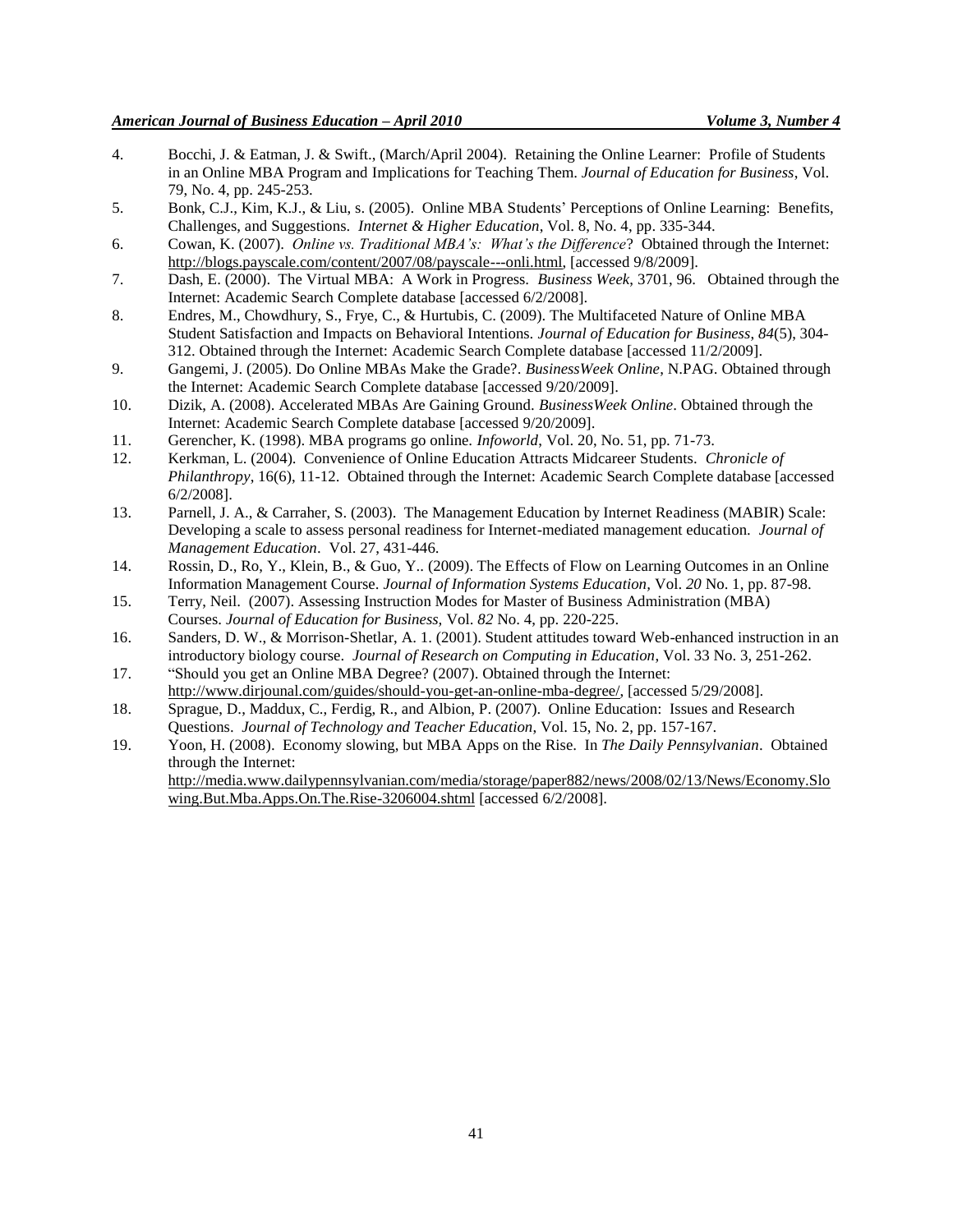- 4. Bocchi, J. & Eatman, J. & Swift., (March/April 2004). Retaining the Online Learner: Profile of Students in an Online MBA Program and Implications for Teaching Them. *Journal of Education for Business*, Vol. 79, No. 4, pp. 245-253.
- 5. Bonk, C.J., Kim, K.J., & Liu, s. (2005). Online MBA Students' Perceptions of Online Learning: Benefits, Challenges, and Suggestions. *Internet & Higher Education*, Vol. 8, No. 4, pp. 335-344.
- 6. Cowan, K. (2007). *Online vs. Traditional MBA's: What's the Difference*? Obtained through the Internet: [http://blogs.payscale.com/content/2007/08/payscale---onli.html,](http://blogs.payscale.com/content/2007/08/payscale---onli.html) [accessed 9/8/2009].
- 7. Dash, E. (2000). The Virtual MBA: A Work in Progress. *Business Week*, 3701, 96. Obtained through the Internet: Academic Search Complete database [accessed 6/2/2008].
- 8. Endres, M., Chowdhury, S., Frye, C., & Hurtubis, C. (2009). The Multifaceted Nature of Online MBA Student Satisfaction and Impacts on Behavioral Intentions. *Journal of Education for Business*, *84*(5), 304- 312. Obtained through the Internet: Academic Search Complete database [accessed 11/2/2009].
- 9. Gangemi, J. (2005). Do Online MBAs Make the Grade?. *BusinessWeek Online*, N.PAG. Obtained through the Internet: Academic Search Complete database [accessed 9/20/2009].
- 10. Dizik, A. (2008). Accelerated MBAs Are Gaining Ground. *BusinessWeek Online*. Obtained through the Internet: Academic Search Complete database [accessed 9/20/2009].
- 11. Gerencher, K. (1998). MBA programs go online. *Infoworld*, Vol. 20, No. 51, pp. 71-73.
- 12. Kerkman, L. (2004). Convenience of Online Education Attracts Midcareer Students. *Chronicle of Philanthropy*, 16(6), 11-12. Obtained through the Internet: Academic Search Complete database [accessed] 6/2/2008].
- 13. Parnell, J. A., & Carraher, S. (2003). The Management Education by Internet Readiness (MABIR) Scale: Developing a scale to assess personal readiness for Internet-mediated management education. *Journal of Management Education*. Vol. 27, 431-446.
- 14. Rossin, D., Ro, Y., Klein, B., & Guo, Y.. (2009). The Effects of Flow on Learning Outcomes in an Online Information Management Course. *Journal of Information Systems Education,* Vol. *20* No. 1, pp. 87-98.
- 15. Terry, Neil. (2007). Assessing Instruction Modes for Master of Business Administration (MBA) Courses. *Journal of Education for Business,* Vol. *82* No. 4, pp. 220-225.
- 16. Sanders, D. W., & Morrison-Shetlar, A. 1. (2001). Student attitudes toward Web-enhanced instruction in an introductory biology course. *Journal of Research on Computing in Education*, Vol. 33 No. 3, 251-262.
- 17. "Should you get an Online MBA Degree? (2007). Obtained through the Internet: [http://www.dirjounal.com/guides/should-you-get-an-online-mba-degree/,](http://www.dirjounal.com/guides/should-you-get-an-online-mba-degree/) [accessed 5/29/2008].
- 18. Sprague, D., Maddux, C., Ferdig, R., and Albion, P. (2007). Online Education: Issues and Research Questions. *Journal of Technology and Teacher Education*, Vol. 15, No. 2, pp. 157-167.
- 19. Yoon, H. (2008). Economy slowing, but MBA Apps on the Rise. In *The Daily Pennsylvanian*. Obtained through the Internet:

[http://media.www.dailypennsylvanian.com/media/storage/paper882/news/2008/02/13/News/Economy.Slo](http://media.www.dailypennsylvanian.com/media/storage/paper882/news/2008/02/13/News/Economy.Slowing.But.Mba.Apps.On.The.Rise-3206004.shtml) [wing.But.Mba.Apps.On.The.Rise-3206004.shtml](http://media.www.dailypennsylvanian.com/media/storage/paper882/news/2008/02/13/News/Economy.Slowing.But.Mba.Apps.On.The.Rise-3206004.shtml) [accessed 6/2/2008].